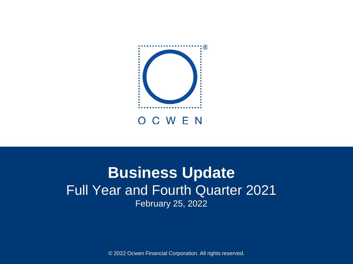

# **Business Update** Full Year and Fourth Quarter 2021 February 25, 2022

© 2022 Ocwen Financial Corporation. All rights reserved.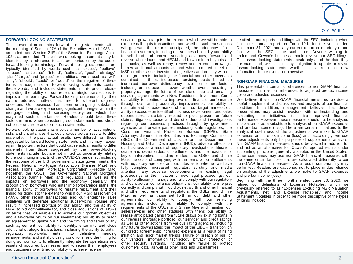

#### **FORWARD-LOOKING STATEMENTS**

This presentation contains forward-looking statements within the meaning of Section 27A of the Securities Act of 1933, as amended, and Section 21E of the Securities Exchange Act of 1934, as amended. These forward-looking statements may be identified by a reference to a future period or by the use of forward-looking terminology. Forward-looking statements are typically identified by words such as "expect", "believe", "foresee", "anticipate", "intend", "estimate", "goal", "strategy", "plan" "target" and "project" or conditional verbs such as "will", "may", "should", "could" or "would" or the negative of these terms, although not all forward-looking statements contain these words, and includes statements in this press release regarding the ability of our recent strategic transactions to improve our earnings. Forward-looking statements by their nature address matters that are, to different degrees, uncertain. Our business has been undergoing substantial change and we are experiencing significant changes within the mortgage lending and servicing ecosystem which has magnified such uncertainties. Readers should bear these factors in mind when considering such statements and should not place undue reliance on such statements.

Forward-looking statements involve a number of assumptions, risks and uncertainties that could cause actual results to differ materially. In the past, actual results have differed from those suggested by forward looking statements and this may happen again. Important factors that could cause actual results to differ materially from those suggested by the forward-looking statements include, but are not limited to, uncertainty relating to the continuing impacts of the COVID-19 pandemic, including the response of the U.S. government, state governments, the Federal National Mortgage Association (Fannie Mae) and Federal Home Loan Mortgage Corporation (Freddie Mac) (together, the GSEs), the Government National Mortgage Association (Ginnie Mae) and regulators, as well as the impacts on borrowers and the economy generally; the proportion of borrowers who enter into forbearance plans, the financial ability of borrowers to resume repayment and their timing for doing so; the extent to which our MSR asset vehicle (MAV), other recent transactions and our enterprise sales initiatives will generate additional subservicing volume and result in increased profitability; our ability, and the ability of MAV, to bid competitively for, and close acquisitions of, MSRs on terms that will enable us to achieve our growth objectives and a favorable return on our investment; our ability to reach an agreement to upsize MAV and the timing and terms of any such agreement; our ability to identify, enter into and close additional strategic transactions, including the ability to obtain regulatory approvals, enter into definitive financing arrangements, and satisfy closing conditions, and the timing for doing so; our ability to efficiently integrate the operations and assets of acquired businesses and to retain their employees and customers over time; our ability to achieve reverse

servicing growth targets; the extent to which we will be able to execute call rights transactions, and whether such transactions will generate the returns anticipated; the adequacy of our financial resources, including our sources of liquidity and ability to sell, fund and recover servicing advances, forward and reverse whole loans, and HECM and forward loan buyouts and put backs, as well as repay, renew and extend borrowings, borrow additional amounts as and when required, meet our MSR or other asset investment objectives and comply with our debt agreements, including the financial and other covenants contained in them; increased servicing costs based on increased borrower delinquency levels or other factors, including an increase in severe weather events resulting in property damage; the future of our relationship and remaining servicing agreements with New Residential Investment Corp.; our ability to continue to improve our financial performance through cost and productivity improvements; our ability to maintain and increase market share in our target markets; our ability to execute on identified business development and sales opportunities; uncertainty related to past, present or future claims, litigation, cease and desist orders and investigations regarding our business practices brought by government agencies and private parties, including state regulators, the Consumer Financial Protection Bureau (CFPB), State Attorneys General, the Securities and Exchange Commission (SEC), the Department of Justice or the Department of Housing and Urban Development (HUD); adverse effects on our business as a result of regulatory investigations, litigation, cease and desist orders or settlements and the reactions of key counterparties, including lenders, the GSEs and Ginnie Mae; the costs of complying with the terms of our settlements with regulatory agencies and disputes as to whether we have fully complied; increased regulatory scrutiny and media attention; any adverse developments in existing legal proceedings or the initiation of new legal proceedings; our ability to efficiently manage and fully comply with our regulatory and contractual compliance obligations; our ability to interpret correctly and comply with liquidity, net worth and other financial and other requirements of regulators, the GSEs and Ginnie Mae, as well as those set forth in our debt and other agreements; our ability to comply with our servicing agreements, including our ability to comply with the requirements of the GSEs and Ginnie Mae and maintain our seller/servicer and other statuses with them; our ability to realize anticipated gains from future draws on existing loans in our reverse mortgage portfolio; our servicer and credit ratings as well as other actions from various rating agencies, including any future downgrades; the impact of the LIBOR transition on our credit agreements; increased expense as a result of rising inflation and labor market trends; failure or breach of our, or our vendors', information technology, privacy protection or other security systems, including any failure to protect customers' data; as well as other risks and uncertainties

detailed in our reports and filings with the SEC, including, when filed, our annual report on Form 10-K for the year ended December 31, 2021 and any current report or quarterly report filed with the SEC since such date. Anyone wishing to understand Ocwen's business should review our SEC filings. Our forward-looking statements speak only as of the date they are made and, we disclaim any obligation to update or revise forward-looking statements whether as a result of new information, future events or otherwise.

#### **NON-GAAP FINANCIAL MEASURES**

This presentation contains references to non-GAAP financial measures, such as our references to adjusted pre-tax income (loss) and adjusted expenses.

We believe these non-GAAP financial measures provide a useful supplement to discussions and analysis of our financial condition. In addition, management believes that these presentations may assist investors with understanding and evaluating our initiatives to drive improved financial performance. However, these measures should not be analyzed in isolation or as a substitute to analysis of our GAAP expenses and pre-tax income (loss). There are certain limitations to the analytical usefulness of the adjustments we make to GAAP expenses and pre-tax income (loss) and, accordingly, we use these adjustments only for purposes of supplemental analysis. Non-GAAP financial measures should be viewed in addition to, and not as an alternative for, Ocwen's reported results under accounting principles generally accepted in the United States. Other companies may use non-GAAP financial measures with the same or similar titles that are calculated differently to our non-GAAP financial measures. As a result, comparability may be limited. Readers are cautioned not to place undue reliance on analysis of the adjustments we make to GAAP expenses and pre-tax income (loss).

Beginning with the three months ended June 30, 2020, we refined our definitions of Expense Notables, which we previously referred to as "Expenses Excluding MSR Valuation Adjustments, net, and Expense Notables," and Income Statement Notables in order to be more descriptive of the types of items included.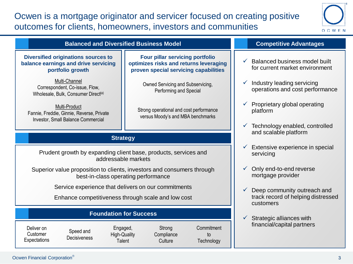# Ocwen is a mortgage originator and servicer focused on creating positive outcomes for clients, homeowners, investors and communities



#### **Competitive Advantages Strategy Foundation for Success Balanced and Diversified Business Model Diversified originations sources to balance earnings and drive servicing portfolio growth Four pillar servicing portfolio optimizes risks and returns leveraging proven special servicing capabilities** Multi-Channel Correspondent, Co-issue, Flow, Wholesale, Bulk, Consumer Direct<sup>(a)</sup> Multi-Product Fannie, Freddie, Ginnie, Reverse, Private Investor, Small Balance Commercial Owned Servicing and Subservicing, Performing and Special Strong operational and cost performance versus Moody's and MBA benchmarks  $\checkmark$  Balanced business model built for current market environment Industry leading servicing operations and cost performance  $\checkmark$  Proprietary global operating platform  $\checkmark$  Technology enabled, controlled and scalable platform  $\checkmark$  Extensive experience in special servicing  $\checkmark$  Only end-to-end reverse mortgage provider  $\checkmark$  Deep community outreach and track record of helping distressed customers  $\checkmark$  Strategic alliances with Prudent growth by expanding client base, products, services and addressable markets Superior value proposition to clients, investors and consumers through best-in-class operating performance Service experience that delivers on our commitments Enhance competitiveness through scale and low cost

Deliver on **Customer Expectations** 

Speed and **Decisiveness** 

Engaged, High-Quality **Talent** 

**Compliance Commitment** to **Technology** 

Strong

Culture

financial/capital partners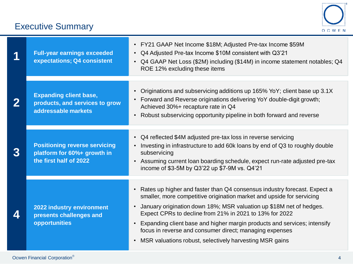# Executive Summary



|                          | <b>Full-year earnings exceeded</b><br>expectations; Q4 consistent                             | • FY21 GAAP Net Income \$18M; Adjusted Pre-tax Income \$59M<br>Q4 Adjusted Pre-tax Income \$10M consistent with Q3'21<br>$\bullet$<br>• Q4 GAAP Net Loss (\$2M) including (\$14M) in income statement notables; Q4<br>ROE 12% excluding these items                                                                                                                                                                                                                                                                            |
|--------------------------|-----------------------------------------------------------------------------------------------|--------------------------------------------------------------------------------------------------------------------------------------------------------------------------------------------------------------------------------------------------------------------------------------------------------------------------------------------------------------------------------------------------------------------------------------------------------------------------------------------------------------------------------|
| $\mathbf{2}$             | <b>Expanding client base,</b><br>products, and services to grow<br>addressable markets        | • Originations and subservicing additions up 165% YoY; client base up 3.1X<br>• Forward and Reverse originations delivering YoY double-digit growth;<br>Achieved 30%+ recapture rate in Q4<br>Robust subservicing opportunity pipeline in both forward and reverse<br>$\bullet$                                                                                                                                                                                                                                                |
| $\overline{3}$           | <b>Positioning reverse servicing</b><br>platform for 60%+ growth in<br>the first half of 2022 | • Q4 reflected \$4M adjusted pre-tax loss in reverse servicing<br>Investing in infrastructure to add 60k loans by end of Q3 to roughly double<br>$\bullet$<br>subservicing<br>Assuming current loan boarding schedule, expect run-rate adjusted pre-tax<br>$\bullet$<br>income of \$3-5M by Q3'22 up \$7-9M vs. Q4'21                                                                                                                                                                                                          |
| $\boldsymbol{\varDelta}$ | 2022 industry environment<br>presents challenges and<br>opportunities                         | • Rates up higher and faster than Q4 consensus industry forecast. Expect a<br>smaller, more competitive origination market and upside for servicing<br>January origination down 18%; MSR valuation up \$18M net of hedges.<br>$\bullet$<br>Expect CPRs to decline from 21% in 2021 to 13% for 2022<br>Expanding client base and higher margin products and services; intensify<br>$\bullet$<br>focus in reverse and consumer direct; managing expenses<br>MSR valuations robust, selectively harvesting MSR gains<br>$\bullet$ |

Ocwen Financial Corporation<sup>®</sup>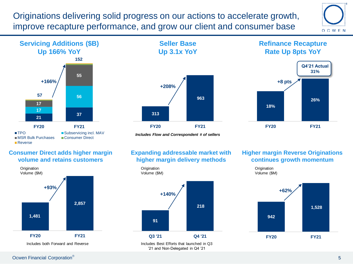Originations delivering solid progress on our actions to accelerate growth, improve recapture performance, and grow our client and consumer base





# **Seller Base Up 3.1x YoY**



# **Refinance Recapture Rate Up 8pts YoY**



*Includes Flow and Correspondent # of sellers*

## **Expanding addressable market with higher margin delivery methods**



## **Higher margin Reverse Originations continues growth momentum**

**Origination** 



## **Consumer Direct adds higher margin volume and retains customers**



Ocwen Financial Corporation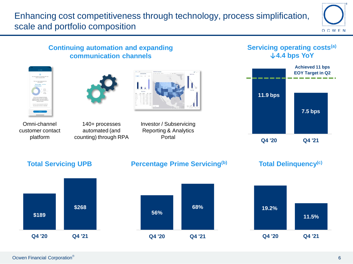Enhancing cost competitiveness through technology, process simplification, scale and portfolio composition





**Q4 '20 Q4 '21**



**Q4 '20 Q4 '21**

**Q4 '20 Q4 '21**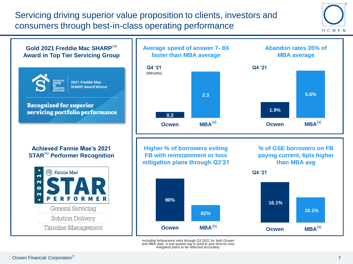Servicing driving superior value proposition to clients, investors and consumers through best-in-class operating performance





and MBA data. A one quarter lag is used to give time for loss mitigation plans to be reflected accurately.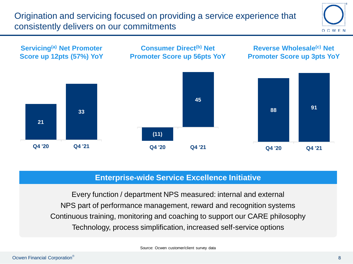Origination and servicing focused on providing a service experience that consistently delivers on our commitments





# **Enterprise-wide Service Excellence Initiative**

Every function / department NPS measured: internal and external NPS part of performance management, reward and recognition systems Continuous training, monitoring and coaching to support our CARE philosophy Technology, process simplification, increased self-service options

Source: Ocwen customer/client survey data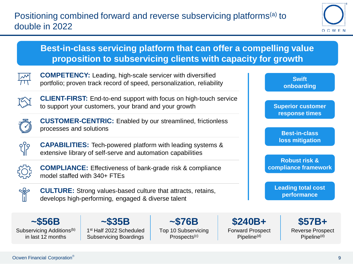

# **Best-in-class servicing platform that can offer a compelling value proposition to subservicing clients with capacity for growth**



**COMPETENCY:** Leading, high-scale servicer with diversified portfolio; proven track record of speed, personalization, reliability



**CLIENT-FIRST:** End-to-end support with focus on high-touch service to support your customers, your brand and your growth



**CUSTOMER-CENTRIC:** Enabled by our streamlined, frictionless processes and solutions



**CAPABILITIES:** Tech-powered platform with leading systems & extensive library of self-serve and automation capabilities



**COMPLIANCE:** Effectiveness of bank-grade risk & compliance model staffed with 340+ FTEs



**CULTURE:** Strong values-based culture that attracts, retains, develops high-performing, engaged & diverse talent

**~\$56B** Subservicing Additions<sup>(b)</sup> in last 12 months

**~\$35B** 1 st Half 2022 Scheduled Subservicing Boardings

**~\$76B** Top 10 Subservicing Prospects<sup>(c)</sup>

**\$240B+** Forward Prospect Pipeline<sup>(d)</sup>

**Swift onboarding** 

**Superior customer response times** 

**Best-in-class loss mitigation** 

**Robust risk & compliance framework**

**Leading total cost performance**

> **\$57B+** Reverse Prospect Pipeline<sup>(d)</sup>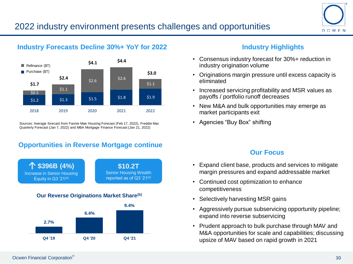

# **Industry Forecasts Decline 30%+ YoY for 2022**



Sources: Average forecast from Fannie Mae Housing Forecast (Feb 17, 2022), Freddie Mac Quarterly Forecast (Jan 7, 2022) and MBA Mortgage Finance Forecast (Jan 21, 2022)

# **Opportunities in Reverse Mortgage continue**



## **Our Reverse Originations Market Share(b)**



# **Industry Highlights**

- Consensus industry forecast for 30%+ reduction in industry origination volume
- Originations margin pressure until excess capacity is eliminated
- Increased servicing profitability and MSR values as payoffs / portfolio runoff decreases
- New M&A and bulk opportunities may emerge as market participants exit
- Agencies "Buy Box" shifting

## **Our Focus**

- Expand client base, products and services to mitigate margin pressures and expand addressable market
- Continued cost optimization to enhance competitiveness
- Selectively harvesting MSR gains
- Aggressively pursue subservicing opportunity pipeline; expand into reverse subservicing
- Prudent approach to bulk purchase through MAV and M&A opportunities for scale and capabilities; discussing upsize of MAV based on rapid growth in 2021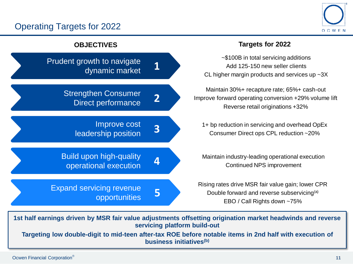# Operating Targets for 2022





**1st half earnings driven by MSR fair value adjustments offsetting origination market headwinds and reverse servicing platform build-out**

**Targeting low double-digit to mid-teen after-tax ROE before notable items in 2nd half with execution of business initiatives(b)**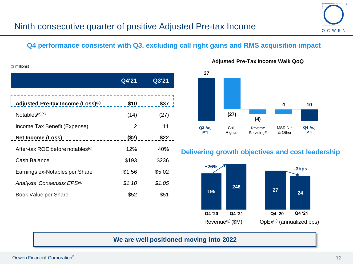# **Q4 performance consistent with Q3, excluding call right gains and RMS acquisition impact**

|                                              | Q4'21  | Q3'21  |
|----------------------------------------------|--------|--------|
|                                              |        |        |
| Adjusted Pre-tax Income (Loss)(a)            | \$10   | \$37   |
| Notables(b)(c)                               | (14)   | (27)   |
| Income Tax Benefit (Expense)                 | 2      | 11     |
| Net Income (Loss) Net Income                 | (S2)   | \$22   |
| After-tax ROE before notables <sup>(d)</sup> | 12%    | 40%    |
| Cash Balance                                 | \$193  | \$236  |
| Earnings ex-Notables per Share               | \$1.56 | \$5.02 |
| Analysts' Consensus EPS <sup>(e)</sup>       | \$1.10 | \$1.05 |
| Book Value per Share                         | \$52   | \$51   |

## **Adjusted Pre-Tax Income Walk QoQ**



## **Delivering growth objectives and cost leadership**



## **We are well positioned moving into 2022**

(\$ millions)

OCWEN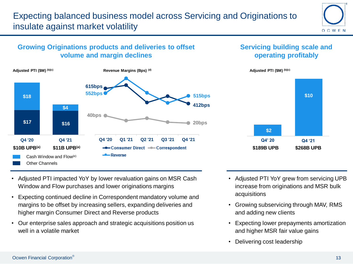

# **Growing Originations products and deliveries to offset volume and margin declines**



# **Servicing building scale and operating profitably**



- Adjusted PTI impacted YoY by lower revaluation gains on MSR Cash Window and Flow purchases and lower originations margins
- Expecting continued decline in Correspondent mandatory volume and margins to be offset by increasing sellers, expanding deliveries and higher margin Consumer Direct and Reverse products
- Our enterprise sales approach and strategic acquisitions position us well in a volatile market
- Adjusted PTI YoY grew from servicing UPB increase from originations and MSR bulk acquisitions
- Growing subservicing through MAV, RMS and adding new clients
- Expecting lower prepayments amortization and higher MSR fair value gains
- Delivering cost leadership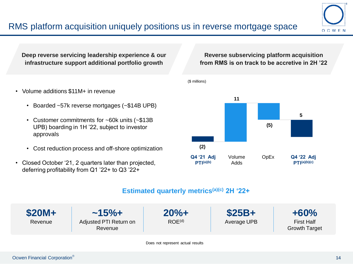

**Deep reverse servicing leadership experience & our infrastructure support additional portfolio growth**

## • Volume additions \$11M+ in revenue

- Boarded ~57k reverse mortgages (~\$14B UPB)
- Customer commitments for ~60k units (~\$13B UPB) boarding in 1H '22, subject to investor approvals
- Cost reduction process and off-shore optimization
- Closed October '21, 2 quarters later than projected, deferring profitability from Q1 '22+ to Q3 '22+

## **Reverse subservicing platform acquisition from RMS is on track to be accretive in 2H '22**



## **Estimated quarterly metrics(a)(c) 2H '22+**

(\$ millions)



Does not represent actual results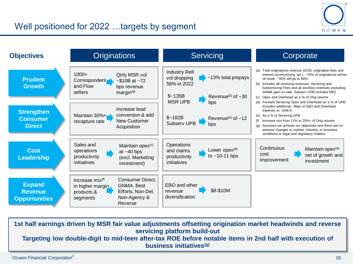



**1st half earnings driven by MSR fair value adjustments offsetting origination market headwinds and reverse servicing platform build-out Targeting low double-digit to mid-teen after-tax ROE before notable items in 2nd half with execution of business initiatives(g)**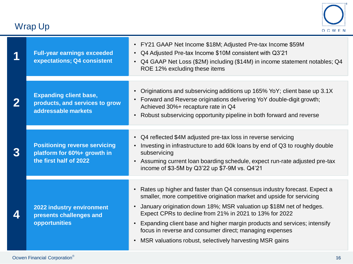# Wrap Up



| 1 | <b>Full-year earnings exceeded</b><br>expectations; Q4 consistent                             | • FY21 GAAP Net Income \$18M; Adjusted Pre-tax Income \$59M<br>Q4 Adjusted Pre-tax Income \$10M consistent with Q3'21<br>$\bullet$<br>• Q4 GAAP Net Loss (\$2M) including (\$14M) in income statement notables; Q4<br>ROE 12% excluding these items                                                                                                                                                                                                                                                    |  |  |
|---|-----------------------------------------------------------------------------------------------|--------------------------------------------------------------------------------------------------------------------------------------------------------------------------------------------------------------------------------------------------------------------------------------------------------------------------------------------------------------------------------------------------------------------------------------------------------------------------------------------------------|--|--|
| 2 | <b>Expanding client base,</b><br>products, and services to grow<br>addressable markets        | Originations and subservicing additions up 165% YoY; client base up 3.1X<br>$\bullet$<br>• Forward and Reverse originations delivering YoY double-digit growth;<br>Achieved 30%+ recapture rate in Q4<br>Robust subservicing opportunity pipeline in both forward and reverse<br>$\bullet$                                                                                                                                                                                                             |  |  |
| 3 | <b>Positioning reverse servicing</b><br>platform for 60%+ growth in<br>the first half of 2022 | • Q4 reflected \$4M adjusted pre-tax loss in reverse servicing<br>Investing in infrastructure to add 60k loans by end of Q3 to roughly double<br>$\bullet$<br>subservicing<br>Assuming current loan boarding schedule, expect run-rate adjusted pre-tax<br>$\bullet$<br>income of \$3-5M by Q3'22 up \$7-9M vs. Q4'21                                                                                                                                                                                  |  |  |
| 4 | 2022 industry environment<br>presents challenges and<br>opportunities                         | • Rates up higher and faster than Q4 consensus industry forecast. Expect a<br>smaller, more competitive origination market and upside for servicing<br>January origination down 18%; MSR valuation up \$18M net of hedges.<br>Expect CPRs to decline from 21% in 2021 to 13% for 2022<br>• Expanding client base and higher margin products and services; intensify<br>focus in reverse and consumer direct; managing expenses<br>MSR valuations robust, selectively harvesting MSR gains<br>$\bullet$ |  |  |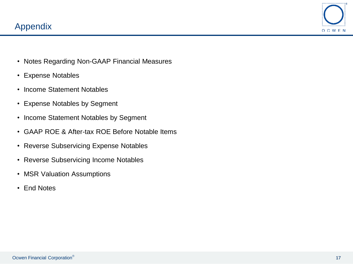

- Notes Regarding Non-GAAP Financial Measures
- Expense Notables
- Income Statement Notables
- Expense Notables by Segment
- Income Statement Notables by Segment
- GAAP ROE & After-tax ROE Before Notable Items
- Reverse Subservicing Expense Notables
- Reverse Subservicing Income Notables
- MSR Valuation Assumptions
- End Notes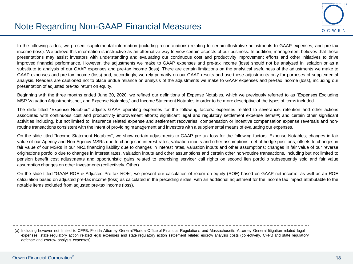

In the following slides, we present supplemental information (including reconciliations) relating to certain illustrative adjustments to GAAP expenses, and pre-tax income (loss). We believe this information is instructive as an alternative way to view certain aspects of our business. In addition, management believes that these presentations may assist investors with understanding and evaluating our continuous cost and productivity improvement efforts and other initiatives to drive improved financial performance. However, the adjustments we make to GAAP expenses and pre-tax income (loss) should not be analyzed in isolation or as a substitute to analysis of our GAAP expenses and pre-tax income (loss). There are certain limitations on the analytical usefulness of the adjustments we make to GAAP expenses and pre-tax income (loss) and, accordingly, we rely primarily on our GAAP results and use these adjustments only for purposes of supplemental analysis. Readers are cautioned not to place undue reliance on analysis of the adjustments we make to GAAP expenses and pre-tax income (loss), including our presentation of adjusted pre-tax return on equity.

Beginning with the three months ended June 30, 2020, we refined our definitions of Expense Notables, which we previously referred to as "Expenses Excluding MSR Valuation Adjustments, net, and Expense Notables," and Income Statement Notables in order to be more descriptive of the types of items included.

The slide titled "Expense Notables" adjusts GAAP operating expenses for the following factors: expenses related to severance, retention and other actions associated with continuous cost and productivity improvement efforts; significant legal and regulatory settlement expense items<sup>(a)</sup>; and certain other significant activities including, but not limited to, insurance related expense and settlement recoveries, compensation or incentive compensation expense reversals and nonroutine transactions consistent with the intent of providing management and investors with a supplemental means of evaluating our expenses.

On the slide titled "Income Statement Notables", we show certain adjustments to GAAP pre-tax loss for the following factors: Expense Notables; changes in fair value of our Agency and Non-Agency MSRs due to changes in interest rates, valuation inputs and other assumptions, net of hedge positions; offsets to changes in fair value of our MSRs in our NRZ financing liability due to changes in interest rates, valuation inputs and other assumptions; changes in fair value of our reverse originations portfolio due to changes in interest rates, valuation inputs and other assumptions and certain other non-routine transactions, including but not limited to pension benefit cost adjustments and opportunistic gains related to exercising servicer call rights on second lien portfolio subsequently sold and fair value assumption changes on other investments (collectively, Other).

On the slide titled "GAAP ROE & Adjusted Pre-tax ROE", we present our calculation of return on equity (ROE) based on GAAP net income, as well as an ROE calculation based on adjusted pre-tax income (loss) as calculated in the preceding slides, with an additional adjustment for the income tax impact attributable to the notable items excluded from adjusted pre-tax income (loss).

(a) Including however not limited to CFPB, Florida Attorney General/Florida Office of Financial Regulations and Massachusetts Attorney General litigation related legal expenses, state regulatory action related legal expenses and state regulatory action settlement related escrow analysis costs (collectively, CFPB and state regulatory defense and escrow analysis expenses)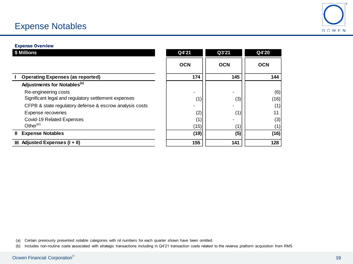# Expense Notables



### Expense Overview

| \$ Millions                                             | Q4'21      | Q3'21      | Q4'20      |
|---------------------------------------------------------|------------|------------|------------|
|                                                         | <b>OCN</b> | <b>OCN</b> | <b>OCN</b> |
| <b>Operating Expenses (as reported)</b>                 | 174        | 145        | 144        |
| Adjustments for Notables <sup>(a)</sup>                 |            |            |            |
| Re-engineering costs                                    | ۰          |            | (6)        |
| Significant legal and regulatory settlement expenses    | (1)        | (3)        | (16)       |
| CFPB & state regulatory defense & escrow analysis costs |            |            |            |
| Expense recoveries                                      | (2)        | (1)        |            |
| Covid-19 Related Expenses                               | (1)        |            | (3)        |
| Other $(b)$                                             | (15)       | (1)        |            |
| <b>Expense Notables</b><br>Ш.                           | (19)       | (5)        | (16)       |
| Adjusted Expenses (I + II)<br>Ш                         | 155        | 141        | 128        |

(a) Certain previously presented notable categories with nil numbers for each quarter shown have been omitted.

(b) Includes non-routine costs associated with strategic transactions including in Q4'21 transaction costs related to the reverse platform acquisition from RMS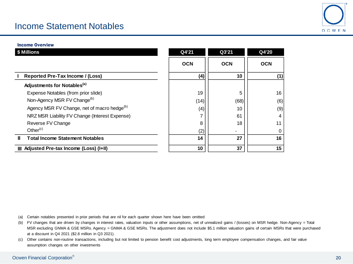# Income Statement Notables



#### Income Overview

| \$ Millions                                             | Q4'21      | Q3'21      | Q4'20      |
|---------------------------------------------------------|------------|------------|------------|
|                                                         | <b>OCN</b> | <b>OCN</b> | <b>OCN</b> |
| Reported Pre-Tax Income / (Loss)                        | (4)        | 10         | (1)        |
| Adjustments for Notables <sup>(a)</sup>                 |            |            |            |
| Expense Notables (from prior slide)                     | 19         | 5          | 16         |
| Non-Agency MSR FV Change <sup>(b)</sup>                 | (14)       | (68)       | (6)        |
| Agency MSR FV Change, net of macro hedge <sup>(b)</sup> | (4)        | 10         | (9)        |
| NRZ MSR Liability FV Change (Interest Expense)          |            | 61         | 4          |
| Reverse FV Change                                       | 8          | 18         | 11         |
| Other $(c)$                                             | (2)        |            |            |
| <b>Total Income Statement Notables</b><br>н.            | 14         | 27         | 16         |
| III Adjusted Pre-tax Income (Loss) (I+II)               | 10         | 37         | 15         |

(a) Certain notables presented in prior periods that are nil for each quarter shown here have been omitted

(b) FV changes that are driven by changes in interest rates, valuation inputs or other assumptions, net of unrealized gains / (losses) on MSR hedge. Non-Agency = Total MSR excluding GNMA & GSE MSRs. Agency = GNMA & GSE MSRs. The adjustment does not include \$5.1 million valuation gains of certain MSRs that were purchased at a discount in Q4 2021 (\$2.8 million in Q3 2021).

(c) Other contains non-routine transactions, including but not limited to pension benefit cost adjustments, long term employee compensation changes, and fair value assumption changes on other investments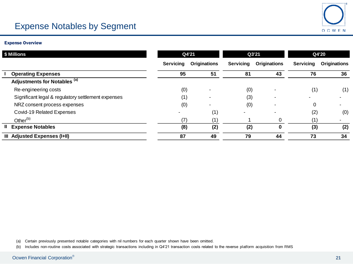# OCWEN

# Expense Notables by Segment

### Expense Overview

| \$ Millions                                        |           | Q4'21               |                  | Q3'21               |                  | Q4'20               |  |
|----------------------------------------------------|-----------|---------------------|------------------|---------------------|------------------|---------------------|--|
|                                                    | Servicing | <b>Originations</b> | <b>Servicing</b> | <b>Originations</b> | <b>Servicing</b> | <b>Originations</b> |  |
| <b>Operating Expenses</b>                          | 95        | 51                  | 81               | 43                  | 76               | 36                  |  |
| Adjustments for Notables (a)                       |           |                     |                  |                     |                  |                     |  |
| Re-engineering costs                               | (0)       |                     | (0)              |                     | (1)              | (1)                 |  |
| Significant legal & regulatory settlement expenses | (1)       |                     | (3)              |                     |                  |                     |  |
| NRZ consent process expenses                       | (0)       |                     | (0)              |                     | $\Omega$         |                     |  |
| Covid-19 Related Expenses                          |           | (1)                 |                  |                     | (2)              | (0)                 |  |
| Other <sup>(b)</sup>                               | (7)       | (1)                 |                  | 0                   | (1)              |                     |  |
| <b>II</b> Expense Notables                         | (8)       | (2)                 | (2)              | $\bf{0}$            | (3)              | (2)                 |  |
| III Adjusted Expenses (I+II)                       | 87        | 49                  | 79               | 44                  | 73               | 34                  |  |

(a) Certain previously presented notable categories with nil numbers for each quarter shown have been omitted.

(b) Includes non-routine costs associated with strategic transactions including in Q4'21 transaction costs related to the reverse platform acquisition from RMS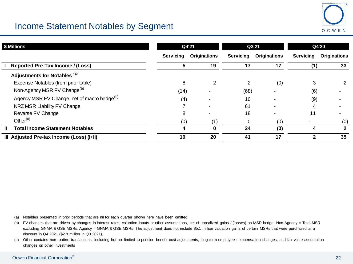# Income Statement Notables by Segment

| \$ Millions                                             | Q4'21            |                     | Q3'21     |                     | Q4'20            |                     |
|---------------------------------------------------------|------------------|---------------------|-----------|---------------------|------------------|---------------------|
|                                                         | <b>Servicing</b> | <b>Originations</b> | Servicing | <b>Originations</b> | <b>Servicing</b> | <b>Originations</b> |
| <b>Reported Pre-Tax Income / (Loss)</b>                 | 5                | 19                  | 17        | 17                  | (1)              | 33                  |
| Adjustments for Notables (a)                            |                  |                     |           |                     |                  |                     |
| Expense Notables (from prior table)                     | 8                |                     |           | (0)                 | 3                | 2                   |
| Non-Agency MSR FV Change <sup>(b)</sup>                 | (14)             |                     | (68)      |                     | (6)              |                     |
| Agency MSR FV Change, net of macro hedge <sup>(b)</sup> | (4)              |                     | 10        |                     | (9)              |                     |
| NRZ MSR Liability FV Change                             |                  |                     | 61        |                     |                  |                     |
| Reverse FV Change                                       | 8                |                     | 18        |                     | 11               |                     |
| Other $(c)$                                             | (0)              | (1)                 | $\Omega$  | (0)                 |                  | (0)                 |
| <b>Total Income Statement Notables</b>                  | 4                |                     | 24        | (0)                 | 4                | $\mathbf{2}$        |
| III Adjusted Pre-tax Income (Loss) (I+II)               | 10               | 20                  | 41        | 17                  |                  | 35                  |

(a) Notables presented in prior periods that are nil for each quarter shown here have been omitted

(b) FV changes that are driven by changes in interest rates, valuation inputs or other assumptions, net of unrealized gains / (losses) on MSR hedge. Non-Agency = Total MSR excluding GNMA & GSE MSRs. Agency = GNMA & GSE MSRs. The adjustment does not include \$5.1 million valuation gains of certain MSRs that were purchased at a discount in Q4 2021 (\$2.8 million in Q3 2021).

(c) Other contains non-routine transactions, including but not limited to pension benefit cost adjustments, long term employee compensation changes, and fair value assumption changes on other investments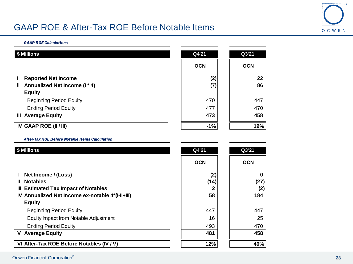

# GAAP ROE & After-Tax ROE Before Notable Items

#### *GAAP ROE Calculations*

| \$ Millions                                   | Q4'21      | Q3'21      |  |
|-----------------------------------------------|------------|------------|--|
|                                               | <b>OCN</b> | <b>OCN</b> |  |
| <b>Reported Net Income</b>                    | (2)        | 22         |  |
| Annualized Net Income (I * 4)<br>$\mathbf{I}$ | (7)        | 86         |  |
| <b>Equity</b>                                 |            |            |  |
| <b>Beginning Period Equity</b>                | 470        | 447        |  |
| <b>Ending Period Equity</b>                   | 477        | 470        |  |
| <b>III Average Equity</b>                     | 473        | 458        |  |
| IV GAAP ROE (II / III)                        | $-1%$      | 19%        |  |

### *After-Tax ROE Before Notable Items Calculation*

| \$ Millions                                      | Q4'21      | Q3'21      |  |
|--------------------------------------------------|------------|------------|--|
|                                                  | <b>OCN</b> | <b>OCN</b> |  |
| Net Income / (Loss)                              | (2)        | 0          |  |
| <b>Notables</b><br>Ш.                            | (14)       | (27)       |  |
| III Estimated Tax Impact of Notables             |            | (2)        |  |
| IV Annualized Net Income ex-notable 4*(I-II+III) | 58         | 184        |  |
| <b>Equity</b>                                    |            |            |  |
| <b>Beginning Period Equity</b>                   | 447        | 447        |  |
| Equity Impact from Notable Adjustment            | 16         | 25         |  |
| <b>Ending Period Equity</b>                      | 493        | 470        |  |
| <b>V</b> Average Equity                          | 481        | 458        |  |
| VI After-Tax ROE Before Notables (IV / V)        | 12%        | 40%        |  |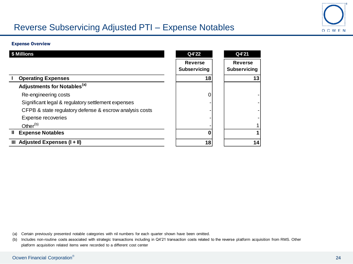

# Reverse Subservicing Adjusted PTI – Expense Notables

### Expense Overview

| \$ Millions                                             | Q4'22                          | Q4'21                                 |
|---------------------------------------------------------|--------------------------------|---------------------------------------|
|                                                         | <b>Reverse</b><br>Subservicing | <b>Reverse</b><br><b>Subservicing</b> |
| <b>Operating Expenses</b>                               | 18                             | 13                                    |
| Adjustments for Notables <sup>(a)</sup>                 |                                |                                       |
| Re-engineering costs                                    |                                |                                       |
| Significant legal & regulatory settlement expenses      |                                |                                       |
| CFPB & state regulatory defense & escrow analysis costs |                                |                                       |
| Expense recoveries                                      |                                |                                       |
| Other $(b)$                                             |                                |                                       |
| Ш<br><b>Expense Notables</b>                            |                                |                                       |
| Adjusted Expenses (I + II)<br>Ш                         | 18                             | 14                                    |

(a) Certain previously presented notable categories with nil numbers for each quarter shown have been omitted.

(b) Includes non-routine costs associated with strategic transactions including in Q4'21 transaction costs related to the reverse platform acquisition from RMS. Other platform acquisition related items were recorded to a different cost center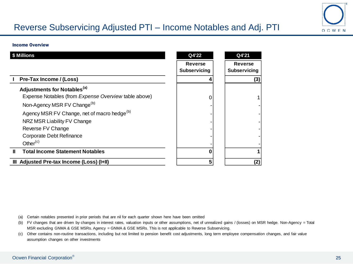# Reverse Subservicing Adjusted PTI – Income Notables and Adj. PTI



#### Income Overview

|   | lillions                                                | Q4'22                                 | Q4'21                          |
|---|---------------------------------------------------------|---------------------------------------|--------------------------------|
|   |                                                         | <b>Reverse</b><br><b>Subservicing</b> | <b>Reverse</b><br>Subservicing |
|   | Pre-Tax Income / (Loss)                                 |                                       | (3)                            |
|   | Adjustments for Notables <sup>(a)</sup>                 |                                       |                                |
|   | Expense Notables (from Expense Overview table above)    |                                       |                                |
|   | Non-Agency MSR FV Change <sup>(b)</sup>                 |                                       |                                |
|   | Agency MSR FV Change, net of macro hedge <sup>(b)</sup> |                                       |                                |
|   | NRZ MSR Liability FV Change                             |                                       |                                |
|   | Reverse FV Change                                       |                                       |                                |
|   | Corporate Debt Refinance                                |                                       |                                |
|   | Other $(c)$                                             |                                       |                                |
| Ш | <b>Total Income Statement Notables</b>                  |                                       |                                |
|   | III Adjusted Pre-tax Income (Loss) (I+II)               |                                       | (2)                            |

(a) Certain notables presented in prior periods that are nil for each quarter shown here have been omitted

- (b) FV changes that are driven by changes in interest rates, valuation inputs or other assumptions, net of unrealized gains / (losses) on MSR hedge. Non-Agency = Total MSR excluding GNMA & GSE MSRs. Agency = GNMA & GSE MSRs. This is not applicable to Reverse Subservicing.
- (c) Other contains non-routine transactions, including but not limited to pension benefit cost adjustments, long term employee compensation changes, and fair value assumption changes on other investments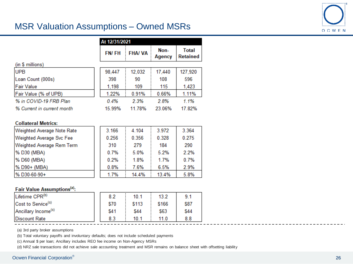# MSR Valuation Assumptions – Owned MSRs



|                            |              | At 12/31/2021 |                |                                 |  |
|----------------------------|--------------|---------------|----------------|---------------------------------|--|
|                            | <b>FN/FH</b> | <b>FHA/VA</b> | Non-<br>Agency | <b>Total</b><br><b>Retained</b> |  |
| (in \$ millions)           |              |               |                |                                 |  |
| <b>UPB</b>                 | 98,447       | 12,032        | 17,440         | 127,920                         |  |
| Loan Count (000s)          | 398          | 90            | 108            | 596                             |  |
| <b>Fair Value</b>          | 1,198        | 109           | 115            | 1,423                           |  |
| Fair Value (% of UPB)      | 1.22%        | 0.91%         | 0.66%          | 1.11%                           |  |
| % in COVID-19 FRB Plan     | 0.4%         | 2.3%          | 2.8%           | 1.1%                            |  |
| % Current in current month | 15.99%       | 11 78%        | 23.06%         | 17.82%                          |  |

### **Collateral Metrics:**

| <b>Weighted Average Note Rate</b> | 3.166 | 4.104 | 3.972 | 3.364 |
|-----------------------------------|-------|-------|-------|-------|
| <b>Weighted Average Svc Fee</b>   | 0.256 | 0.356 | 0.328 | 0.275 |
| Weighted Average Rem Term         | 310   | 279   | 184   | 290   |
| % D30 (MBA)                       | 0.7%  | 5.0%  | 5.2%  | 2.2%  |
| % D60 (MBA)                       | 0.2%  | 1.8%  | 1.7%  | 0.7%  |
| % D90+ (MBA)                      | 0.8%  | 7.6%  | 6.5%  | 2.9%  |
| %D30-60-90+                       | 1.7%  | 14.4% | 13.4% | 5.8%  |

### Fair Value Assumptions<sup>(a)</sup>:

| Lifetime CPR <sup>(b)</sup>     | 8.2  | 10.1  | 13.2  | 9.1  |
|---------------------------------|------|-------|-------|------|
| Cost to Service <sup>(c)</sup>  | \$70 | \$113 | \$166 | \$87 |
| Ancillary Income <sup>(c)</sup> | \$41 | \$44  | \$63  | \$44 |
| <b>Discount Rate</b>            | 8.3  | 10.1  | 11.0  | 8.8  |

(a) 3rd party broker assumptions

(b) Total voluntary payoffs and involuntary defaults; does not include scheduled payments

(c) Annual \$ per loan; Ancillary includes REO fee income on Non-Agency MSRs

(d) NRZ sale transactions did not achieve sale accounting treatment and MSR remains on balance sheet with offsetting liability

## Ocwen Financial Corporation